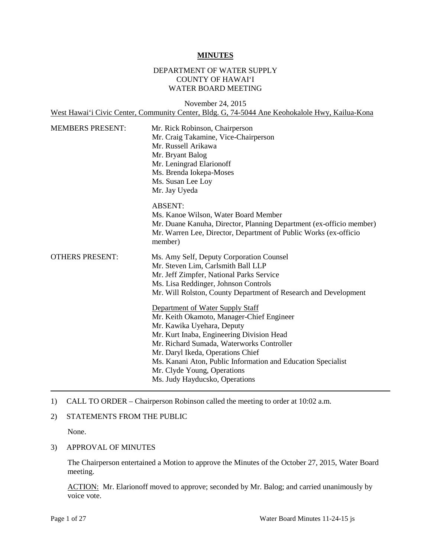#### **MINUTES**

## DEPARTMENT OF WATER SUPPLY COUNTY OF HAWAI'I WATER BOARD MEETING

November 24, 2015 West Hawai'i Civic Center, Community Center, Bldg. G, 74-5044 Ane Keohokalole Hwy, Kailua-Kona

| <b>MEMBERS PRESENT:</b> | Mr. Rick Robinson, Chairperson<br>Mr. Craig Takamine, Vice-Chairperson<br>Mr. Russell Arikawa<br>Mr. Bryant Balog<br>Mr. Leningrad Elarionoff<br>Ms. Brenda Iokepa-Moses<br>Ms. Susan Lee Loy<br>Mr. Jay Uyeda                                                                                                                                                              |
|-------------------------|-----------------------------------------------------------------------------------------------------------------------------------------------------------------------------------------------------------------------------------------------------------------------------------------------------------------------------------------------------------------------------|
|                         | <b>ABSENT:</b><br>Ms. Kanoe Wilson, Water Board Member<br>Mr. Duane Kanuha, Director, Planning Department (ex-officio member)<br>Mr. Warren Lee, Director, Department of Public Works (ex-officio<br>member)                                                                                                                                                                |
| <b>OTHERS PRESENT:</b>  | Ms. Amy Self, Deputy Corporation Counsel<br>Mr. Steven Lim, Carlsmith Ball LLP<br>Mr. Jeff Zimpfer, National Parks Service<br>Ms. Lisa Reddinger, Johnson Controls<br>Mr. Will Rolston, County Department of Research and Development                                                                                                                                       |
|                         | Department of Water Supply Staff<br>Mr. Keith Okamoto, Manager-Chief Engineer<br>Mr. Kawika Uyehara, Deputy<br>Mr. Kurt Inaba, Engineering Division Head<br>Mr. Richard Sumada, Waterworks Controller<br>Mr. Daryl Ikeda, Operations Chief<br>Ms. Kanani Aton, Public Information and Education Specialist<br>Mr. Clyde Young, Operations<br>Ms. Judy Hayducsko, Operations |

## 1) CALL TO ORDER – Chairperson Robinson called the meeting to order at 10:02 a.m.

#### 2) STATEMENTS FROM THE PUBLIC

None.

## 3) APPROVAL OF MINUTES

 The Chairperson entertained a Motion to approve the Minutes of the October 27, 2015, Water Board meeting.

ACTION: Mr. Elarionoff moved to approve; seconded by Mr. Balog; and carried unanimously by voice vote.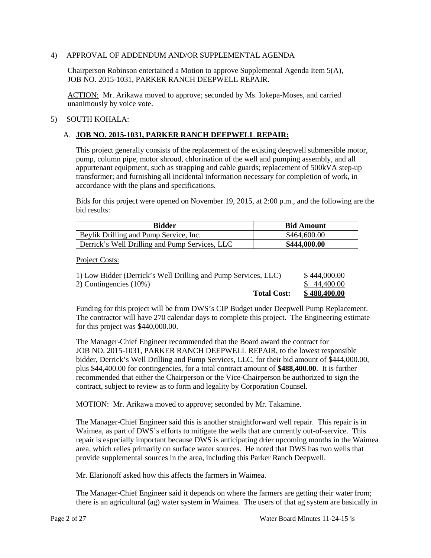#### 4) APPROVAL OF ADDENDUM AND/OR SUPPLEMENTAL AGENDA

Chairperson Robinson entertained a Motion to approve Supplemental Agenda Item 5(A), JOB NO. 2015-1031, PARKER RANCH DEEPWELL REPAIR.

ACTION: Mr. Arikawa moved to approve; seconded by Ms. Iokepa-Moses, and carried unanimously by voice vote.

## 5) SOUTH KOHALA:

## A. **JOB NO. 2015-1031, PARKER RANCH DEEPWELL REPAIR:**

 pump, column pipe, motor shroud, chlorination of the well and pumping assembly, and all transformer; and furnishing all incidental information necessary for completion of work, in This project generally consists of the replacement of the existing deepwell submersible motor, appurtenant equipment, such as strapping and cable guards; replacement of 500kVA step-up accordance with the plans and specifications.

Bids for this project were opened on November 19, 2015, at 2:00 p.m., and the following are the bid results:

| Bidder                                         | <b>Bid Amount</b> |
|------------------------------------------------|-------------------|
| Beylik Drilling and Pump Service, Inc.         | \$464,600.00      |
| Derrick's Well Drilling and Pump Services, LLC | \$444,000.00      |

Project Costs:

| <b>Total Cost:</b>                                             | \$488.400.00 |
|----------------------------------------------------------------|--------------|
| 2) Contingencies $(10\%)$                                      | \$44,400.00  |
| 1) Low Bidder (Derrick's Well Drilling and Pump Services, LLC) | \$444,000.00 |

Funding for this project will be from DWS's CIP Budget under Deepwell Pump Replacement. The contractor will have 270 calendar days to complete this project. The Engineering estimate for this project was \$440,000.00.

 recommended that either the Chairperson or the Vice-Chairperson be authorized to sign the contract, subject to review as to form and legality by Corporation Counsel. The Manager-Chief Engineer recommended that the Board award the contract for JOB NO. 2015-1031, PARKER RANCH DEEPWELL REPAIR, to the lowest responsible bidder, Derrick's Well Drilling and Pump Services, LLC, for their bid amount of \$444,000.00, plus \$44,400.00 for contingencies, for a total contract amount of **\$488,400.00**. It is further

MOTION: Mr. Arikawa moved to approve; seconded by Mr. Takamine.

 The Manager-Chief Engineer said this is another straightforward well repair. This repair is in repair is especially important because DWS is anticipating drier upcoming months in the Waimea area, which relies primarily on surface water sources. He noted that DWS has two wells that provide supplemental sources in the area, including this Parker Ranch Deepwell. Waimea, as part of DWS's efforts to mitigate the wells that are currently out-of-service. This

Mr. Elarionoff asked how this affects the farmers in Waimea.

 The Manager-Chief Engineer said it depends on where the farmers are getting their water from; there is an agricultural (ag) water system in Waimea. The users of that ag system are basically in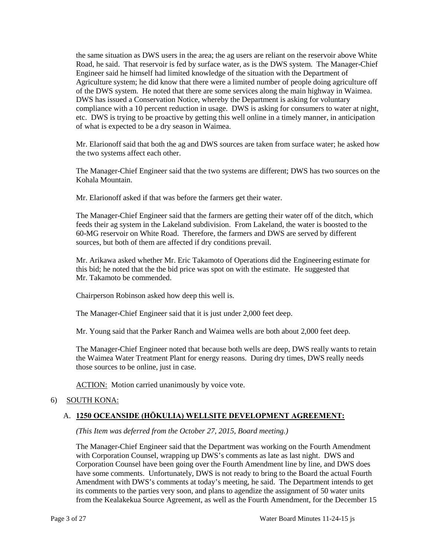the same situation as DWS users in the area; the ag users are reliant on the reservoir above White Road, he said. That reservoir is fed by surface water, as is the DWS system. The Manager-Chief Engineer said he himself had limited knowledge of the situation with the Department of Agriculture system; he did know that there were a limited number of people doing agriculture off of the DWS system. He noted that there are some services along the main highway in Waimea. of what is expected to be a dry season in Waimea. DWS has issued a Conservation Notice, whereby the Department is asking for voluntary compliance with a 10 percent reduction in usage. DWS is asking for consumers to water at night, etc. DWS is trying to be proactive by getting this well online in a timely manner, in anticipation

Mr. Elarionoff said that both the ag and DWS sources are taken from surface water; he asked how the two systems affect each other.

 Kohala Mountain. The Manager-Chief Engineer said that the two systems are different; DWS has two sources on the

Mr. Elarionoff asked if that was before the farmers get their water.

 feeds their ag system in the Lakeland subdivision. From Lakeland, the water is boosted to the 60-MG reservoir on White Road. Therefore, the farmers and DWS are served by different sources, but both of them are affected if dry conditions prevail. The Manager-Chief Engineer said that the farmers are getting their water off of the ditch, which

Mr. Arikawa asked whether Mr. Eric Takamoto of Operations did the Engineering estimate for this bid; he noted that the the bid price was spot on with the estimate. He suggested that Mr. Takamoto be commended.

Chairperson Robinson asked how deep this well is.

The Manager-Chief Engineer said that it is just under 2,000 feet deep.

Mr. Young said that the Parker Ranch and Waimea wells are both about 2,000 feet deep.

 The Manager-Chief Engineer noted that because both wells are deep, DWS really wants to retain those sources to be online, just in case. the Waimea Water Treatment Plant for energy reasons. During dry times, DWS really needs

ACTION: Motion carried unanimously by voice vote.

#### 6) SOUTH KONA:

#### A. **1250 OCEANSIDE (HŌKULIA) WELLSITE DEVELOPMENT AGREEMENT:**

*(This Item was deferred from the October 27, 2015, Board meeting.)* 

 with Corporation Counsel, wrapping up DWS's comments as late as last night. DWS and Amendment with DWS's comments at today's meeting, he said. The Department intends to get The Manager-Chief Engineer said that the Department was working on the Fourth Amendment Corporation Counsel have been going over the Fourth Amendment line by line, and DWS does have some comments. Unfortunately, DWS is not ready to bring to the Board the actual Fourth its comments to the parties very soon, and plans to agendize the assignment of 50 water units from the Kealakekua Source Agreement, as well as the Fourth Amendment, for the December 15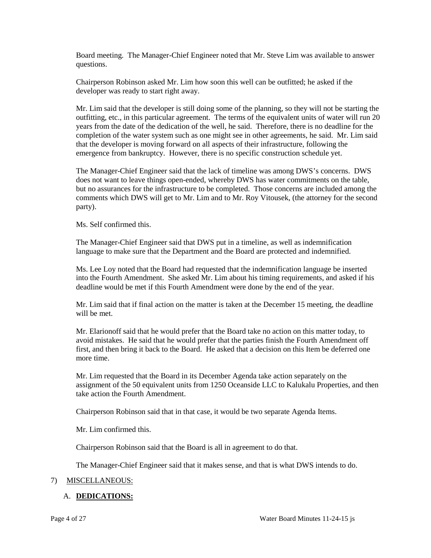Board meeting. The Manager-Chief Engineer noted that Mr. Steve Lim was available to answer questions.

Chairperson Robinson asked Mr. Lim how soon this well can be outfitted; he asked if the developer was ready to start right away.

 years from the date of the dedication of the well, he said. Therefore, there is no deadline for the that the developer is moving forward on all aspects of their infrastructure, following the Mr. Lim said that the developer is still doing some of the planning, so they will not be starting the outfitting, etc., in this particular agreement. The terms of the equivalent units of water will run 20 completion of the water system such as one might see in other agreements, he said. Mr. Lim said emergence from bankruptcy. However, there is no specific construction schedule yet.

 comments which DWS will get to Mr. Lim and to Mr. Roy Vitousek, (the attorney for the second The Manager-Chief Engineer said that the lack of timeline was among DWS's concerns. DWS does not want to leave things open-ended, whereby DWS has water commitments on the table, but no assurances for the infrastructure to be completed. Those concerns are included among the party).

Ms. Self confirmed this.

The Manager-Chief Engineer said that DWS put in a timeline, as well as indemnification language to make sure that the Department and the Board are protected and indemnified.

 into the Fourth Amendment. She asked Mr. Lim about his timing requirements, and asked if his Ms. Lee Loy noted that the Board had requested that the indemnification language be inserted deadline would be met if this Fourth Amendment were done by the end of the year.

Mr. Lim said that if final action on the matter is taken at the December 15 meeting, the deadline will be met.

 Mr. Elarionoff said that he would prefer that the Board take no action on this matter today, to avoid mistakes. He said that he would prefer that the parties finish the Fourth Amendment off first, and then bring it back to the Board. He asked that a decision on this Item be deferred one more time.

 assignment of the 50 equivalent units from 1250 Oceanside LLC to Kalukalu Properties, and then Mr. Lim requested that the Board in its December Agenda take action separately on the take action the Fourth Amendment.

Chairperson Robinson said that in that case, it would be two separate Agenda Items.

Mr. Lim confirmed this.

Chairperson Robinson said that the Board is all in agreement to do that.

The Manager-Chief Engineer said that it makes sense, and that is what DWS intends to do.

# 7) MISCELLANEOUS:

# A. **DEDICATIONS:**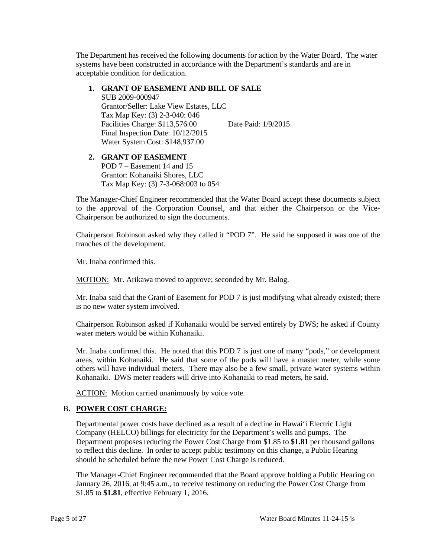The Department has received the following documents for action by the Water Board. The water systems have been constructed in accordance with the Department's standards and are in acceptable condition for dedication.

## **1. GRANT OF EASEMENT AND BILL OF SALE**

 Final Inspection Date: 10/12/2015 SUB 2009-000947 Grantor/Seller: Lake View Estates, LLC Tax Map Key: (3) 2-3-040: 046 Facilities Charge: \$113,576.00 Date Paid: 1/9/2015 Water System Cost: \$148,937.00

#### **2. GRANT OF EASEMENT**  POD 7 – Easement 14 and 15 Grantor: Kohanaiki Shores, LLC Tax Map Key: (3) 7-3-068:003 to 054

 The Manager-Chief Engineer recommended that the Water Board accept these documents subject to the approval of the Corporation Counsel, and that either the Chairperson or the Vice-Chairperson be authorized to sign the documents.

 Chairperson Robinson asked why they called it "POD 7". He said he supposed it was one of the tranches of the development.

Mr. Inaba confirmed this.

MOTION: Mr. Arikawa moved to approve; seconded by Mr. Balog.

 is no new water system involved. Mr. Inaba said that the Grant of Easement for POD 7 is just modifying what already existed; there

 Chairperson Robinson asked if Kohanaiki would be served entirely by DWS; he asked if County water meters would be within Kohanaiki.

 Mr. Inaba confirmed this. He noted that this POD 7 is just one of many "pods," or development areas, within Kohanaiki. He said that some of the pods will have a master meter, while some others will have individual meters. There may also be a few small, private water systems within Kohanaiki. DWS meter readers will drive into Kohanaiki to read meters, he said.

ACTION: Motion carried unanimously by voice vote.

### B. **POWER COST CHARGE:**

 to reflect this decline. In order to accept public testimony on this change, a Public Hearing Departmental power costs have declined as a result of a decline in Hawai'i Electric Light Company (HELCO) billings for electricity for the Department's wells and pumps. The Department proposes reducing the Power Cost Charge from \$1.85 to **\$1.81** per thousand gallons should be scheduled before the new Power Cost Charge is reduced.

The Manager-Chief Engineer recommended that the Board approve holding a Public Hearing on January 26, 2016, at 9:45 a.m., to receive testimony on reducing the Power Cost Charge from \$1.85 to **\$1.81**, effective February 1, 2016.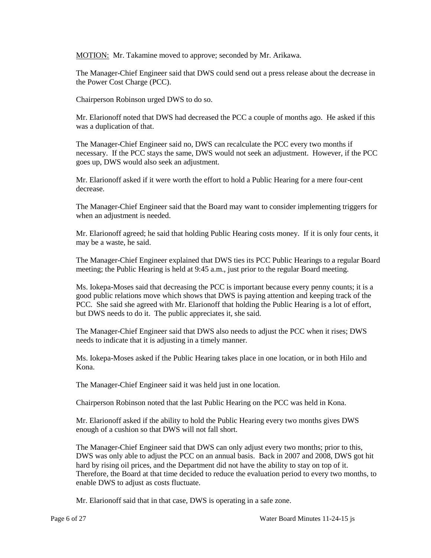MOTION: Mr. Takamine moved to approve; seconded by Mr. Arikawa.

 The Manager-Chief Engineer said that DWS could send out a press release about the decrease in the Power Cost Charge (PCC).

Chairperson Robinson urged DWS to do so.

 was a duplication of that. Mr. Elarionoff noted that DWS had decreased the PCC a couple of months ago. He asked if this

 The Manager-Chief Engineer said no, DWS can recalculate the PCC every two months if necessary. If the PCC stays the same, DWS would not seek an adjustment. However, if the PCC goes up, DWS would also seek an adjustment.

Mr. Elarionoff asked if it were worth the effort to hold a Public Hearing for a mere four-cent decrease.

The Manager-Chief Engineer said that the Board may want to consider implementing triggers for when an adjustment is needed.

 Mr. Elarionoff agreed; he said that holding Public Hearing costs money. If it is only four cents, it may be a waste, he said.

The Manager-Chief Engineer explained that DWS ties its PCC Public Hearings to a regular Board meeting; the Public Hearing is held at 9:45 a.m., just prior to the regular Board meeting.

 Ms. Iokepa-Moses said that decreasing the PCC is important because every penny counts; it is a but DWS needs to do it. The public appreciates it, she said. good public relations move which shows that DWS is paying attention and keeping track of the PCC. She said she agreed with Mr. Elarionoff that holding the Public Hearing is a lot of effort,

 The Manager-Chief Engineer said that DWS also needs to adjust the PCC when it rises; DWS needs to indicate that it is adjusting in a timely manner.

 Ms. Iokepa-Moses asked if the Public Hearing takes place in one location, or in both Hilo and Kona.

The Manager-Chief Engineer said it was held just in one location.

Chairperson Robinson noted that the last Public Hearing on the PCC was held in Kona.

 Mr. Elarionoff asked if the ability to hold the Public Hearing every two months gives DWS enough of a cushion so that DWS will not fall short.

The Manager-Chief Engineer said that DWS can only adjust every two months; prior to this, DWS was only able to adjust the PCC on an annual basis. Back in 2007 and 2008, DWS got hit hard by rising oil prices, and the Department did not have the ability to stay on top of it. Therefore, the Board at that time decided to reduce the evaluation period to every two months, to enable DWS to adjust as costs fluctuate.

Mr. Elarionoff said that in that case, DWS is operating in a safe zone.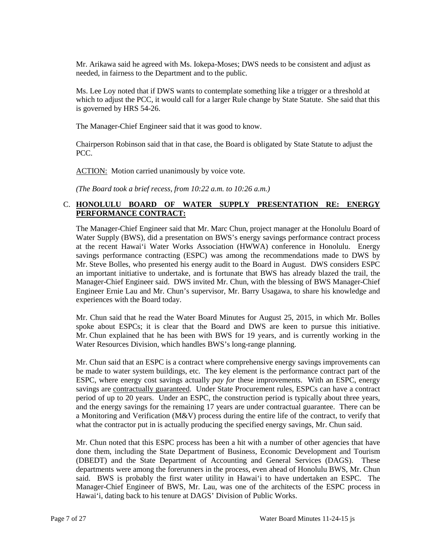needed, in fairness to the Department and to the public. Mr. Arikawa said he agreed with Ms. Iokepa-Moses; DWS needs to be consistent and adjust as

 Ms. Lee Loy noted that if DWS wants to contemplate something like a trigger or a threshold at which to adjust the PCC, it would call for a larger Rule change by State Statute. She said that this is governed by HRS 54-26.

The Manager-Chief Engineer said that it was good to know.

 Chairperson Robinson said that in that case, the Board is obligated by State Statute to adjust the PCC.

ACTION: Motion carried unanimously by voice vote.

*(The Board took a brief recess, from 10:22 a.m. to 10:26 a.m.)* 

## C. **HONOLULU BOARD OF WATER SUPPLY PRESENTATION RE: ENERGY PERFORMANCE CONTRACT:**

 at the recent Hawai'i Water Works Association (HWWA) conference in Honolulu. Energy an important initiative to undertake, and is fortunate that BWS has already blazed the trail, the Engineer Ernie Lau and Mr. Chun's supervisor, Mr. Barry Usagawa, to share his knowledge and The Manager-Chief Engineer said that Mr. Marc Chun, project manager at the Honolulu Board of Water Supply (BWS), did a presentation on BWS's energy savings performance contract process savings performance contracting (ESPC) was among the recommendations made to DWS by Mr. Steve Bolles, who presented his energy audit to the Board in August. DWS considers ESPC Manager-Chief Engineer said. DWS invited Mr. Chun, with the blessing of BWS Manager-Chief experiences with the Board today.

 spoke about ESPCs; it is clear that the Board and DWS are keen to pursue this initiative. Mr. Chun said that he read the Water Board Minutes for August 25, 2015, in which Mr. Bolles Mr. Chun explained that he has been with BWS for 19 years, and is currently working in the Water Resources Division, which handles BWS's long-range planning.

 be made to water system buildings, etc. The key element is the performance contract part of the period of up to 20 years. Under an ESPC, the construction period is typically about three years, a Monitoring and Verification (M&V) process during the entire life of the contract, to verify that what the contractor put in is actually producing the specified energy savings, Mr. Chun said. Mr. Chun said that an ESPC is a contract where comprehensive energy savings improvements can ESPC, where energy cost savings actually *pay for* these improvements. With an ESPC, energy savings are contractually guaranteed. Under State Procurement rules, ESPCs can have a contract and the energy savings for the remaining 17 years are under contractual guarantee. There can be

 Mr. Chun noted that this ESPC process has been a hit with a number of other agencies that have (DBEDT) and the State Department of Accounting and General Services (DAGS). These said. BWS is probably the first water utility in Hawai'i to have undertaken an ESPC. The done them, including the State Department of Business, Economic Development and Tourism departments were among the forerunners in the process, even ahead of Honolulu BWS, Mr. Chun Manager-Chief Engineer of BWS, Mr. Lau, was one of the architects of the ESPC process in Hawai'i, dating back to his tenure at DAGS' Division of Public Works.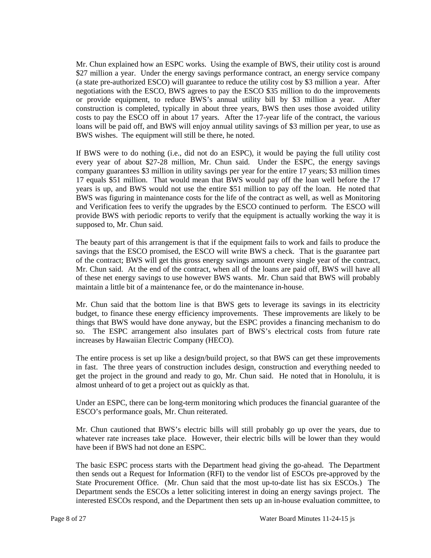negotiations with the ESCO, BWS agrees to pay the ESCO \$35 million to do the improvements BWS wishes. The equipment will still be there, he noted. Mr. Chun explained how an ESPC works. Using the example of BWS, their utility cost is around \$27 million a year. Under the energy savings performance contract, an energy service company (a state pre-authorized ESCO) will guarantee to reduce the utility cost by \$3 million a year. After or provide equipment, to reduce BWS's annual utility bill by \$3 million a year. After construction is completed, typically in about three years, BWS then uses those avoided utility costs to pay the ESCO off in about 17 years. After the 17-year life of the contract, the various loans will be paid off, and BWS will enjoy annual utility savings of \$3 million per year, to use as

 company guarantees \$3 million in utility savings per year for the entire 17 years; \$3 million times 17 equals \$51 million. That would mean that BWS would pay off the loan well before the 17 years is up, and BWS would not use the entire \$51 million to pay off the loan. He noted that BWS was figuring in maintenance costs for the life of the contract as well, as well as Monitoring and Verification fees to verify the upgrades by the ESCO continued to perform. The ESCO will If BWS were to do nothing (i.e., did not do an ESPC), it would be paying the full utility cost every year of about \$27-28 million, Mr. Chun said. Under the ESPC, the energy savings provide BWS with periodic reports to verify that the equipment is actually working the way it is supposed to, Mr. Chun said.

 The beauty part of this arrangement is that if the equipment fails to work and fails to produce the of the contract; BWS will get this gross energy savings amount every single year of the contract, Mr. Chun said. At the end of the contract, when all of the loans are paid off, BWS will have all savings that the ESCO promised, the ESCO will write BWS a check. That is the guarantee part of these net energy savings to use however BWS wants. Mr. Chun said that BWS will probably maintain a little bit of a maintenance fee, or do the maintenance in-house.

 Mr. Chun said that the bottom line is that BWS gets to leverage its savings in its electricity budget, to finance these energy efficiency improvements. These improvements are likely to be so. The ESPC arrangement also insulates part of BWS's electrical costs from future rate things that BWS would have done anyway, but the ESPC provides a financing mechanism to do increases by Hawaiian Electric Company (HECO).

 The entire process is set up like a design/build project, so that BWS can get these improvements in fast. The three years of construction includes design, construction and everything needed to get the project in the ground and ready to go, Mr. Chun said. He noted that in Honolulu, it is almost unheard of to get a project out as quickly as that.

 Under an ESPC, there can be long-term monitoring which produces the financial guarantee of the ESCO's performance goals, Mr. Chun reiterated.

 Mr. Chun cautioned that BWS's electric bills will still probably go up over the years, due to whatever rate increases take place. However, their electric bills will be lower than they would have been if BWS had not done an ESPC.

 then sends out a Request for Information (RFI) to the vendor list of ESCOs pre-approved by the State Procurement Office. (Mr. Chun said that the most up-to-date list has six ESCOs.) The Department sends the ESCOs a letter soliciting interest in doing an energy savings project. The The basic ESPC process starts with the Department head giving the go-ahead. The Department interested ESCOs respond, and the Department then sets up an in-house evaluation committee, to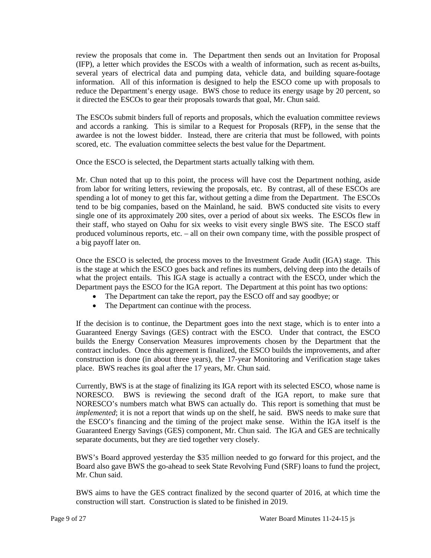review the proposals that come in. The Department then sends out an Invitation for Proposal information. All of this information is designed to help the ESCO come up with proposals to reduce the Department's energy usage. BWS chose to reduce its energy usage by 20 percent, so (IFP), a letter which provides the ESCOs with a wealth of information, such as recent as-builts, several years of electrical data and pumping data, vehicle data, and building square-footage it directed the ESCOs to gear their proposals towards that goal, Mr. Chun said.

 and accords a ranking. This is similar to a Request for Proposals (RFP), in the sense that the awardee is not the lowest bidder. Instead, there are criteria that must be followed, with points scored, etc. The evaluation committee selects the best value for the Department. The ESCOs submit binders full of reports and proposals, which the evaluation committee reviews

Once the ESCO is selected, the Department starts actually talking with them.

 tend to be big companies, based on the Mainland, he said. BWS conducted site visits to every their staff, who stayed on Oahu for six weeks to visit every single BWS site. The ESCO staff a big payoff later on. Mr. Chun noted that up to this point, the process will have cost the Department nothing, aside from labor for writing letters, reviewing the proposals, etc. By contrast, all of these ESCOs are spending a lot of money to get this far, without getting a dime from the Department. The ESCOs single one of its approximately 200 sites, over a period of about six weeks. The ESCOs flew in produced voluminous reports, etc. – all on their own company time, with the possible prospect of

 Once the ESCO is selected, the process moves to the Investment Grade Audit (IGA) stage. This what the project entails. This IGA stage is actually a contract with the ESCO, under which the is the stage at which the ESCO goes back and refines its numbers, delving deep into the details of Department pays the ESCO for the IGA report. The Department at this point has two options:

- The Department can take the report, pay the ESCO off and say goodbye; or
- The Department can continue with the process.

 If the decision is to continue, the Department goes into the next stage, which is to enter into a Guaranteed Energy Savings (GES) contract with the ESCO. Under that contract, the ESCO builds the Energy Conservation Measures improvements chosen by the Department that the construction is done (in about three years), the 17-year Monitoring and Verification stage takes contract includes. Once this agreement is finalized, the ESCO builds the improvements, and after place. BWS reaches its goal after the 17 years, Mr. Chun said.

 NORESCO. BWS is reviewing the second draft of the IGA report, to make sure that NORESCO's numbers match what BWS can actually do. This report is something that must be *implemented*; it is not a report that winds up on the shelf, he said. BWS needs to make sure that the ESCO's financing and the timing of the project make sense. Within the IGA itself is the Guaranteed Energy Savings (GES) component, Mr. Chun said. The IGA and GES are technically Currently, BWS is at the stage of finalizing its IGA report with its selected ESCO, whose name is separate documents, but they are tied together very closely.

 BWS's Board approved yesterday the \$35 million needed to go forward for this project, and the Board also gave BWS the go-ahead to seek State Revolving Fund (SRF) loans to fund the project, Mr. Chun said.

BWS aims to have the GES contract finalized by the second quarter of 2016, at which time the construction will start. Construction is slated to be finished in 2019.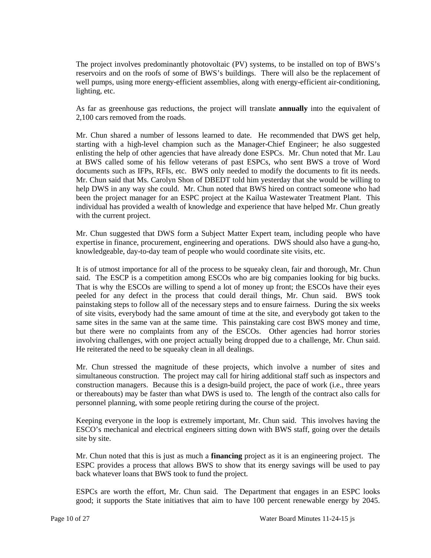The project involves predominantly photovoltaic (PV) systems, to be installed on top of BWS's reservoirs and on the roofs of some of BWS's buildings. There will also be the replacement of well pumps, using more energy-efficient assemblies, along with energy-efficient air-conditioning, lighting, etc.

As far as greenhouse gas reductions, the project will translate **annually** into the equivalent of 2,100 cars removed from the roads.

documents such as IFPs, RFIs, etc. BWS only needed to modify the documents to fit its needs. been the project manager for an ESPC project at the Kailua Wastewater Treatment Plant. This individual has provided a wealth of knowledge and experience that have helped Mr. Chun greatly Mr. Chun shared a number of lessons learned to date. He recommended that DWS get help, starting with a high-level champion such as the Manager-Chief Engineer; he also suggested enlisting the help of other agencies that have already done ESPCs. Mr. Chun noted that Mr. Lau at BWS called some of his fellow veterans of past ESPCs, who sent BWS a trove of Word Mr. Chun said that Ms. Carolyn Shon of DBEDT told him yesterday that she would be willing to help DWS in any way she could. Mr. Chun noted that BWS hired on contract someone who had with the current project.

Mr. Chun suggested that DWS form a Subject Matter Expert team, including people who have expertise in finance, procurement, engineering and operations. DWS should also have a gung-ho, knowledgeable, day-to-day team of people who would coordinate site visits, etc.

 It is of utmost importance for all of the process to be squeaky clean, fair and thorough, Mr. Chun said. The ESCP is a competition among ESCOs who are big companies looking for big bucks. peeled for any defect in the process that could derail things, Mr. Chun said. BWS took painstaking steps to follow all of the necessary steps and to ensure fairness. During the six weeks same sites in the same van at the same time. This painstaking care cost BWS money and time, involving challenges, with one project actually being dropped due to a challenge, Mr. Chun said. He reiterated the need to be squeaky clean in all dealings. That is why the ESCOs are willing to spend a lot of money up front; the ESCOs have their eyes of site visits, everybody had the same amount of time at the site, and everybody got taken to the but there were no complaints from any of the ESCOs. Other agencies had horror stories

 construction managers. Because this is a design-build project, the pace of work (i.e., three years or thereabouts) may be faster than what DWS is used to. The length of the contract also calls for personnel planning, with some people retiring during the course of the project. Mr. Chun stressed the magnitude of these projects, which involve a number of sites and simultaneous construction. The project may call for hiring additional staff such as inspectors and

Keeping everyone in the loop is extremely important, Mr. Chun said. This involves having the ESCO's mechanical and electrical engineers sitting down with BWS staff, going over the details site by site.

 Mr. Chun noted that this is just as much a **financing** project as it is an engineering project. The ESPC provides a process that allows BWS to show that its energy savings will be used to pay back whatever loans that BWS took to fund the project.

ESPCs are worth the effort, Mr. Chun said. The Department that engages in an ESPC looks good; it supports the State initiatives that aim to have 100 percent renewable energy by 2045.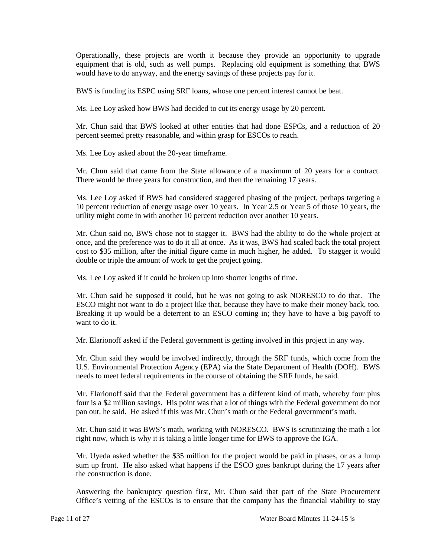Operationally, these projects are worth it because they provide an opportunity to upgrade equipment that is old, such as well pumps. Replacing old equipment is something that BWS would have to do anyway, and the energy savings of these projects pay for it.

BWS is funding its ESPC using SRF loans, whose one percent interest cannot be beat.

Ms. Lee Loy asked how BWS had decided to cut its energy usage by 20 percent.

Mr. Chun said that BWS looked at other entities that had done ESPCs, and a reduction of 20 percent seemed pretty reasonable, and within grasp for ESCOs to reach.

Ms. Lee Loy asked about the 20-year timeframe.

Mr. Chun said that came from the State allowance of a maximum of 20 years for a contract. There would be three years for construction, and then the remaining 17 years.

 utility might come in with another 10 percent reduction over another 10 years. Ms. Lee Loy asked if BWS had considered staggered phasing of the project, perhaps targeting a 10 percent reduction of energy usage over 10 years. In Year 2.5 or Year 5 of those 10 years, the

 once, and the preference was to do it all at once. As it was, BWS had scaled back the total project cost to \$35 million, after the initial figure came in much higher, he added. To stagger it would double or triple the amount of work to get the project going. Mr. Chun said no, BWS chose not to stagger it. BWS had the ability to do the whole project at

Ms. Lee Loy asked if it could be broken up into shorter lengths of time.

 Mr. Chun said he supposed it could, but he was not going to ask NORESCO to do that. The ESCO might not want to do a project like that, because they have to make their money back, too. Breaking it up would be a deterrent to an ESCO coming in; they have to have a big payoff to. want to do it.

Mr. Elarionoff asked if the Federal government is getting involved in this project in any way.

 U.S. Environmental Protection Agency (EPA) via the State Department of Health (DOH). BWS needs to meet federal requirements in the course of obtaining the SRF funds, he said. Mr. Chun said they would be involved indirectly, through the SRF funds, which come from the

 four is a \$2 million savings. His point was that a lot of things with the Federal government do not pan out, he said. He asked if this was Mr. Chun's math or the Federal government's math. Mr. Elarionoff said that the Federal government has a different kind of math, whereby four plus

 Mr. Chun said it was BWS's math, working with NORESCO. BWS is scrutinizing the math a lot right now, which is why it is taking a little longer time for BWS to approve the IGA.

Mr. Uyeda asked whether the \$35 million for the project would be paid in phases, or as a lump sum up front. He also asked what happens if the ESCO goes bankrupt during the 17 years after the construction is done.

Answering the bankruptcy question first, Mr. Chun said that part of the State Procurement Office's vetting of the ESCOs is to ensure that the company has the financial viability to stay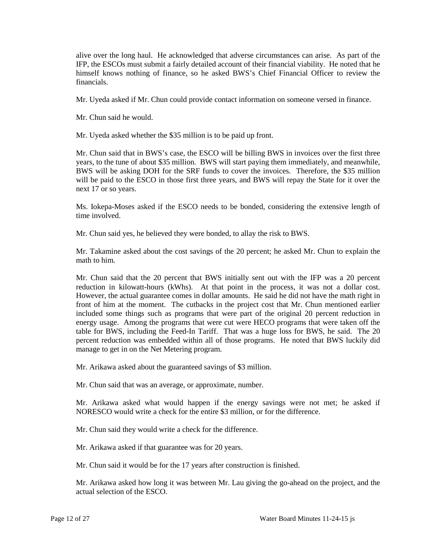alive over the long haul. He acknowledged that adverse circumstances can arise. As part of the IFP, the ESCOs must submit a fairly detailed account of their financial viability. He noted that he himself knows nothing of finance, so he asked BWS's Chief Financial Officer to review the financials.

Mr. Uyeda asked if Mr. Chun could provide contact information on someone versed in finance.

Mr. Chun said he would.

Mr. Uyeda asked whether the \$35 million is to be paid up front.

 Mr. Chun said that in BWS's case, the ESCO will be billing BWS in invoices over the first three years, to the tune of about \$35 million. BWS will start paying them immediately, and meanwhile, will be paid to the ESCO in those first three years, and BWS will repay the State for it over the next 17 or so years. BWS will be asking DOH for the SRF funds to cover the invoices. Therefore, the \$35 million

Ms. Iokepa-Moses asked if the ESCO needs to be bonded, considering the extensive length of time involved.

Mr. Chun said yes, he believed they were bonded, to allay the risk to BWS.

Mr. Takamine asked about the cost savings of the 20 percent; he asked Mr. Chun to explain the math to him.

 reduction in kilowatt-hours (kWhs). At that point in the process, it was not a dollar cost. However, the actual guarantee comes in dollar amounts. He said he did not have the math right in front of him at the moment. The cutbacks in the project cost that Mr. Chun mentioned earlier included some things such as programs that were part of the original 20 percent reduction in energy usage. Among the programs that were cut were HECO programs that were taken off the table for BWS, including the Feed-In Tariff. That was a huge loss for BWS, he said. The 20 Mr. Chun said that the 20 percent that BWS initially sent out with the IFP was a 20 percent percent reduction was embedded within all of those programs. He noted that BWS luckily did manage to get in on the Net Metering program.

Mr. Arikawa asked about the guaranteed savings of \$3 million.

Mr. Chun said that was an average, or approximate, number.

 NORESCO would write a check for the entire \$3 million, or for the difference. Mr. Arikawa asked what would happen if the energy savings were not met; he asked if

Mr. Chun said they would write a check for the difference.

Mr. Arikawa asked if that guarantee was for 20 years.

Mr. Chun said it would be for the 17 years after construction is finished.

Mr. Arikawa asked how long it was between Mr. Lau giving the go-ahead on the project, and the actual selection of the ESCO.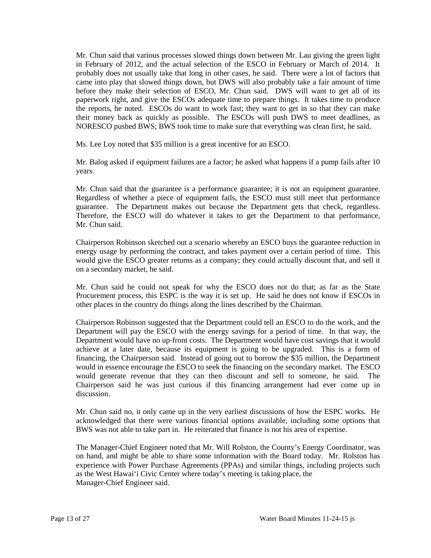came into play that slowed things down, but DWS will also probably take a fair amount of time before they make their selection of ESCO, Mr. Chun said. DWS will want to get all of its NORESCO pushed BWS; BWS took time to make sure that everything was clean first, he said. Mr. Chun said that various processes slowed things down between Mr. Lau giving the green light in February of 2012, and the actual selection of the ESCO in February or March of 2014. It probably does not usually take that long in other cases, he said. There were a lot of factors that paperwork right, and give the ESCOs adequate time to prepare things. It takes time to produce the reports, he noted. ESCOs do want to work fast; they want to get in so that they can make their money back as quickly as possible. The ESCOs will push DWS to meet deadlines, as

Ms. Lee Loy noted that \$35 million is a great incentive for an ESCO.

Mr. Balog asked if equipment failures are a factor; he asked what happens if a pump fails after 10 years.

Mr. Chun said that the guarantee is a performance guarantee; it is not an equipment guarantee. guarantee. The Department makes out because the Department gets that check, regardless. guarantee. The Department makes out because the Department gets that check, regardless. Therefore, the ESCO will do whatever it takes to get the Department to that performance, Regardless of whether a piece of equipment fails, the ESCO must still meet that performance Mr. Chun said.

 would give the ESCO greater returns as a company; they could actually discount that, and sell it Chairperson Robinson sketched out a scenario whereby an ESCO buys the guarantee reduction in energy usage by performing the contract, and takes payment over a certain period of time. This on a secondary market, he said.

 Mr. Chun said he could not speak for why the ESCO does not do that; as far as the State Procurement process, this ESPC is the way it is set up. He said he does not know if ESCOs in other places in the country do things along the lines described by the Chairman.

Chairperson Robinson suggested that the Department could tell an ESCO to do the work, and the Department will pay the ESCO with the energy savings for a period of time. In that way, the Department would have no up-front costs. The Department would have cost savings that it would achieve at a later date, because its equipment is going to be upgraded. This is a form of financing, the Chairperson said. Instead of going out to borrow the \$35 million, the Department would in essence encourage the ESCO to seek the financing on the secondary market. The ESCO would generate revenue that they can then discount and sell to someone, he said. The Chairperson said he was just curious if this financing arrangement had ever come up in discussion.

 BWS was not able to take part in. He reiterated that finance is not his area of expertise. Mr. Chun said no, it only came up in the very earliest discussions of how the ESPC works. He acknowledged that there were various financial options available, including some options that

The Manager-Chief Engineer noted that Mr. Will Rolston, the County's Energy Coordinator, was on hand, and might be able to share some information with the Board today. Mr. Rolston has experience with Power Purchase Agreements (PPAs) and similar things, including projects such as the West Hawai'i Civic Center where today's meeting is taking place, the Manager-Chief Engineer said.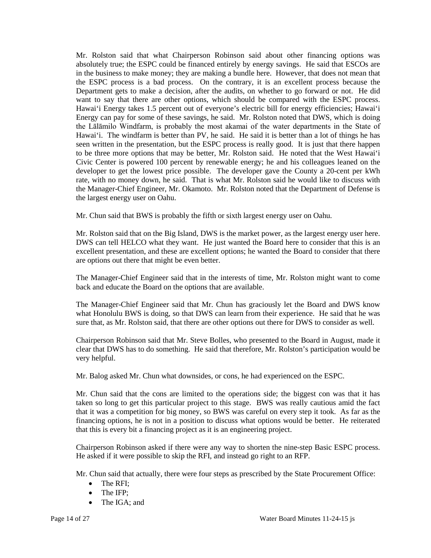absolutely true; the ESPC could be financed entirely by energy savings. He said that ESCOs are want to say that there are other options, which should be compared with the ESPC process. the Lālāmilo Windfarm, is probably the most akamai of the water departments in the State of seen written in the presentation, but the ESPC process is really good. It is just that there happen developer to get the lowest price possible. The developer gave the County a 20-cent per kWh rate, with no money down, he said. That is what Mr. Rolston said he would like to discuss with the Manager-Chief Engineer, Mr. Okamoto. Mr. Rolston noted that the Department of Defense is Mr. Rolston said that what Chairperson Robinson said about other financing options was in the business to make money; they are making a bundle here. However, that does not mean that the ESPC process is a bad process. On the contrary, it is an excellent process because the Department gets to make a decision, after the audits, on whether to go forward or not. He did Hawai'i Energy takes 1.5 percent out of everyone's electric bill for energy efficiencies; Hawai'i Energy can pay for some of these savings, he said. Mr. Rolston noted that DWS, which is doing Hawai'i. The windfarm is better than PV, he said. He said it is better than a lot of things he has to be three more options that may be better, Mr. Rolston said. He noted that the West Hawai'i Civic Center is powered 100 percent by renewable energy; he and his colleagues leaned on the the largest energy user on Oahu.

Mr. Chun said that BWS is probably the fifth or sixth largest energy user on Oahu.

 Mr. Rolston said that on the Big Island, DWS is the market power, as the largest energy user here. DWS can tell HELCO what they want. He just wanted the Board here to consider that this is an excellent presentation, and these are excellent options; he wanted the Board to consider that there are options out there that might be even better.

The Manager-Chief Engineer said that in the interests of time, Mr. Rolston might want to come back and educate the Board on the options that are available.

 what Honolulu BWS is doing, so that DWS can learn from their experience. He said that he was sure that, as Mr. Rolston said, that there are other options out there for DWS to consider as well. The Manager-Chief Engineer said that Mr. Chun has graciously let the Board and DWS know

Chairperson Robinson said that Mr. Steve Bolles, who presented to the Board in August, made it clear that DWS has to do something. He said that therefore, Mr. Rolston's participation would be very helpful.

Mr. Balog asked Mr. Chun what downsides, or cons, he had experienced on the ESPC.

 Mr. Chun said that the cons are limited to the operations side; the biggest con was that it has taken so long to get this particular project to this stage. BWS was really cautious amid the fact that it was a competition for big money, so BWS was careful on every step it took. As far as the financing options, he is not in a position to discuss what options would be better. He reiterated that this is every bit a financing project as it is an engineering project.

 Chairperson Robinson asked if there were any way to shorten the nine-step Basic ESPC process. He asked if it were possible to skip the RFI, and instead go right to an RFP.

Mr. Chun said that actually, there were four steps as prescribed by the State Procurement Office:

- The RFI;
- The IFP;
- The IGA: and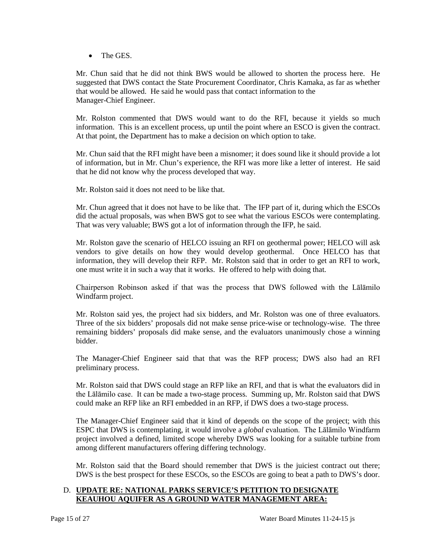• The GES.

 suggested that DWS contact the State Procurement Coordinator, Chris Kamaka, as far as whether Mr. Chun said that he did not think BWS would be allowed to shorten the process here. He that would be allowed. He said he would pass that contact information to the Manager-Chief Engineer.

 Mr. Rolston commented that DWS would want to do the RFI, because it yields so much information. This is an excellent process, up until the point where an ESCO is given the contract. At that point, the Department has to make a decision on which option to take.

 of information, but in Mr. Chun's experience, the RFI was more like a letter of interest. He said that he did not know why the process developed that way. Mr. Chun said that the RFI might have been a misnomer; it does sound like it should provide a lot

Mr. Rolston said it does not need to be like that.

 did the actual proposals, was when BWS got to see what the various ESCOs were contemplating. That was very valuable; BWS got a lot of information through the IFP, he said. Mr. Chun agreed that it does not have to be like that. The IFP part of it, during which the ESCOs

 one must write it in such a way that it works. He offered to help with doing that. Mr. Rolston gave the scenario of HELCO issuing an RFI on geothermal power; HELCO will ask vendors to give details on how they would develop geothermal. Once HELCO has that information, they will develop their RFP. Mr. Rolston said that in order to get an RFI to work,

 Chairperson Robinson asked if that was the process that DWS followed with the Lālāmilo Windfarm project.

Mr. Rolston said yes, the project had six bidders, and Mr. Rolston was one of three evaluators. remaining bidders' proposals did make sense, and the evaluators unanimously chose a winning Three of the six bidders' proposals did not make sense price-wise or technology-wise. The three bidder.

The Manager-Chief Engineer said that that was the RFP process; DWS also had an RFI preliminary process.

 the Lālāmilo case. It can be made a two-stage process. Summing up, Mr. Rolston said that DWS Mr. Rolston said that DWS could stage an RFP like an RFI, and that is what the evaluators did in could make an RFP like an RFI embedded in an RFP, if DWS does a two-stage process.

 ESPC that DWS is contemplating, it would involve a *global* evaluation. The Lālāmilo Windfarm The Manager-Chief Engineer said that it kind of depends on the scope of the project; with this project involved a defined, limited scope whereby DWS was looking for a suitable turbine from among different manufacturers offering differing technology.

Mr. Rolston said that the Board should remember that DWS is the juiciest contract out there; DWS is the best prospect for these ESCOs, so the ESCOs are going to beat a path to DWS's door.

# D. **UPDATE RE: NATIONAL PARKS SERVICE'S PETITION TO DESIGNATE KEAUHOU AQUIFER AS A GROUND WATER MANAGEMENT AREA:**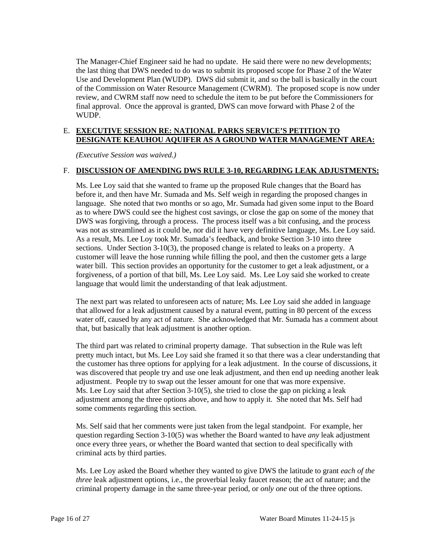the last thing that DWS needed to do was to submit its proposed scope for Phase 2 of the Water of the Commission on Water Resource Management (CWRM). The proposed scope is now under review, and CWRM staff now need to schedule the item to be put before the Commissioners for final approval. Once the approval is granted, DWS can move forward with Phase 2 of the The Manager-Chief Engineer said he had no update. He said there were no new developments; Use and Development Plan (WUDP). DWS did submit it, and so the ball is basically in the court WUDP.

## E. **EXECUTIVE SESSION RE: NATIONAL PARKS SERVICE'S PETITION TO DESIGNATE KEAUHOU AQUIFER AS A GROUND WATER MANAGEMENT AREA:**

*(Executive Session was waived.)* 

## F. DISCUSSION OF AMENDING DWS RULE 3-10, REGARDING LEAK ADJUSTMENTS:

 Ms. Lee Loy said that she wanted to frame up the proposed Rule changes that the Board has DWS was forgiving, through a process. The process itself was a bit confusing, and the process was not as streamlined as it could be, nor did it have very definitive language, Ms. Lee Loy said. was not as streamlined as it could be, nor did it have very definitive language, Ms. Lee Loy said. As a result, Ms. Lee Loy took Mr. Sumada's feedback, and broke Section 3-10 into three water bill. This section provides an opportunity for the customer to get a leak adjustment, or a forgiveness, of a portion of that bill, Ms. Lee Loy said. Ms. Lee Loy said she worked to create before it, and then have Mr. Sumada and Ms. Self weigh in regarding the proposed changes in language. She noted that two months or so ago, Mr. Sumada had given some input to the Board as to where DWS could see the highest cost savings, or close the gap on some of the money that sections. Under Section 3-10(3), the proposed change is related to leaks on a property. A customer will leave the hose running while filling the pool, and then the customer gets a large language that would limit the understanding of that leak adjustment.

 The next part was related to unforeseen acts of nature; Ms. Lee Loy said she added in language that allowed for a leak adjustment caused by a natural event, putting in 80 percent of the excess water off, caused by any act of nature. She acknowledged that Mr. Sumada has a comment about that, but basically that leak adjustment is another option.

 The third part was related to criminal property damage. That subsection in the Rule was left pretty much intact, but Ms. Lee Loy said she framed it so that there was a clear understanding that adjustment. People try to swap out the lesser amount for one that was more expensive. Ms. Lee Loy said that after Section 3-10(5), she tried to close the gap on picking a leak the customer has three options for applying for a leak adjustment. In the course of discussions, it was discovered that people try and use one leak adjustment, and then end up needing another leak adjustment among the three options above, and how to apply it. She noted that Ms. Self had some comments regarding this section.

 Ms. Self said that her comments were just taken from the legal standpoint. For example, her question regarding Section 3-10(5) was whether the Board wanted to have *any* leak adjustment once every three years, or whether the Board wanted that section to deal specifically with criminal acts by third parties.

 Ms. Lee Loy asked the Board whether they wanted to give DWS the latitude to grant *each of the three* leak adjustment options, i.e., the proverbial leaky faucet reason; the act of nature; and the criminal property damage in the same three-year period, or *only one* out of the three options.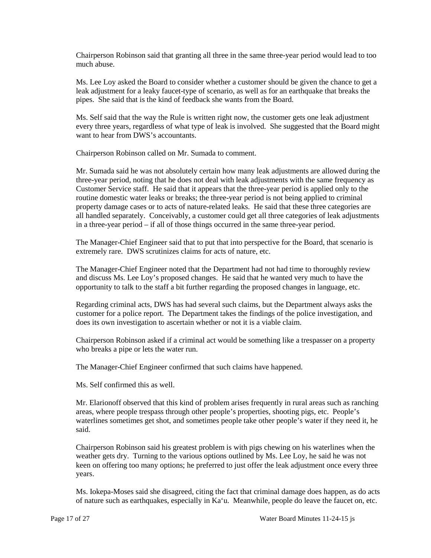Chairperson Robinson said that granting all three in the same three-year period would lead to too much abuse.

 leak adjustment for a leaky faucet-type of scenario, as well as for an earthquake that breaks the Ms. Lee Loy asked the Board to consider whether a customer should be given the chance to get a pipes. She said that is the kind of feedback she wants from the Board.

Ms. Self said that the way the Rule is written right now, the customer gets one leak adjustment every three years, regardless of what type of leak is involved. She suggested that the Board might want to hear from DWS's accountants.

Chairperson Robinson called on Mr. Sumada to comment.

 three-year period, noting that he does not deal with leak adjustments with the same frequency as Customer Service staff. He said that it appears that the three-year period is applied only to the Mr. Sumada said he was not absolutely certain how many leak adjustments are allowed during the routine domestic water leaks or breaks; the three-year period is not being applied to criminal property damage cases or to acts of nature-related leaks. He said that these three categories are all handled separately. Conceivably, a customer could get all three categories of leak adjustments in a three-year period – if all of those things occurred in the same three-year period.

 extremely rare. DWS scrutinizes claims for acts of nature, etc. The Manager-Chief Engineer said that to put that into perspective for the Board, that scenario is

 opportunity to talk to the staff a bit further regarding the proposed changes in language, etc. The Manager-Chief Engineer noted that the Department had not had time to thoroughly review and discuss Ms. Lee Loy's proposed changes. He said that he wanted very much to have the

 customer for a police report. The Department takes the findings of the police investigation, and Regarding criminal acts, DWS has had several such claims, but the Department always asks the does its own investigation to ascertain whether or not it is a viable claim.

 Chairperson Robinson asked if a criminal act would be something like a trespasser on a property who breaks a pipe or lets the water run.

The Manager-Chief Engineer confirmed that such claims have happened.

Ms. Self confirmed this as well.

 waterlines sometimes get shot, and sometimes people take other people's water if they need it, he Mr. Elarionoff observed that this kind of problem arises frequently in rural areas such as ranching areas, where people trespass through other people's properties, shooting pigs, etc. People's said.

 keen on offering too many options; he preferred to just offer the leak adjustment once every three Chairperson Robinson said his greatest problem is with pigs chewing on his waterlines when the weather gets dry. Turning to the various options outlined by Ms. Lee Loy, he said he was not years.

Ms. Iokepa-Moses said she disagreed, citing the fact that criminal damage does happen, as do acts of nature such as earthquakes, especially in Ka'u. Meanwhile, people do leave the faucet on, etc.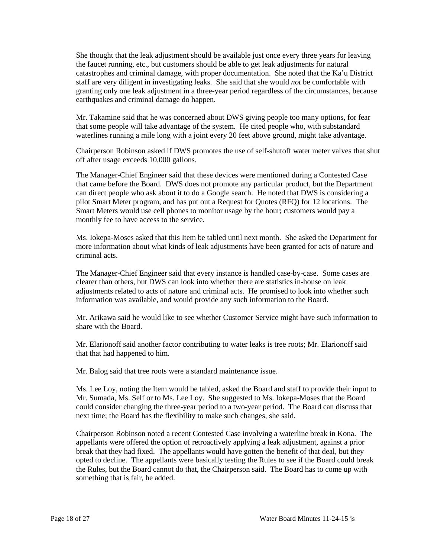catastrophes and criminal damage, with proper documentation. She noted that the Ka'u District She thought that the leak adjustment should be available just once every three years for leaving the faucet running, etc., but customers should be able to get leak adjustments for natural staff are very diligent in investigating leaks. She said that she would *not* be comfortable with granting only one leak adjustment in a three-year period regardless of the circumstances, because earthquakes and criminal damage do happen.

Mr. Takamine said that he was concerned about DWS giving people too many options, for fear that some people will take advantage of the system. He cited people who, with substandard waterlines running a mile long with a joint every 20 feet above ground, might take advantage.

Chairperson Robinson asked if DWS promotes the use of self-shutoff water meter valves that shut off after usage exceeds 10,000 gallons.

 can direct people who ask about it to do a Google search. He noted that DWS is considering a Smart Meters would use cell phones to monitor usage by the hour; customers would pay a The Manager-Chief Engineer said that these devices were mentioned during a Contested Case that came before the Board. DWS does not promote any particular product, but the Department pilot Smart Meter program, and has put out a Request for Quotes (RFQ) for 12 locations. The monthly fee to have access to the service.

 more information about what kinds of leak adjustments have been granted for acts of nature and Ms. Iokepa-Moses asked that this Item be tabled until next month. She asked the Department for criminal acts.

 clearer than others, but DWS can look into whether there are statistics in-house on leak The Manager-Chief Engineer said that every instance is handled case-by-case. Some cases are adjustments related to acts of nature and criminal acts. He promised to look into whether such information was available, and would provide any such information to the Board.

 Mr. Arikawa said he would like to see whether Customer Service might have such information to share with the Board.

Mr. Elarionoff said another factor contributing to water leaks is tree roots; Mr. Elarionoff said that that had happened to him.

Mr. Balog said that tree roots were a standard maintenance issue.

 could consider changing the three-year period to a two-year period. The Board can discuss that Ms. Lee Loy, noting the Item would be tabled, asked the Board and staff to provide their input to Mr. Sumada, Ms. Self or to Ms. Lee Loy. She suggested to Ms. Iokepa-Moses that the Board next time; the Board has the flexibility to make such changes, she said.

 opted to decline. The appellants were basically testing the Rules to see if the Board could break Chairperson Robinson noted a recent Contested Case involving a waterline break in Kona. The appellants were offered the option of retroactively applying a leak adjustment, against a prior break that they had fixed. The appellants would have gotten the benefit of that deal, but they the Rules, but the Board cannot do that, the Chairperson said. The Board has to come up with something that is fair, he added.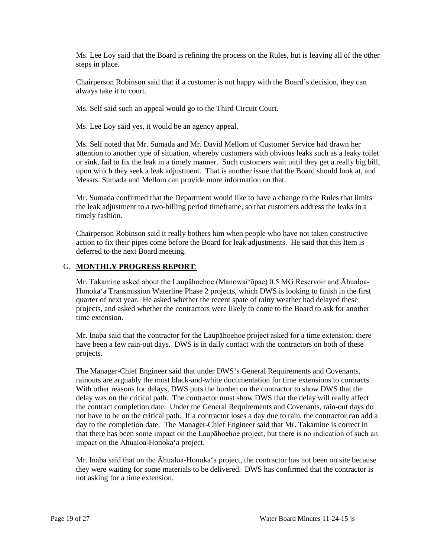Ms. Lee Loy said that the Board is refining the process on the Rules, but is leaving all of the other steps in place.

Chairperson Robinson said that if a customer is not happy with the Board's decision, they can always take it to court.

Ms. Self said such an appeal would go to the Third Circuit Court.

Ms. Lee Loy said yes, it would be an agency appeal.

 Ms. Self noted that Mr. Sumada and Mr. David Mellom of Customer Service had drawn her attention to another type of situation, whereby customers with obvious leaks such as a leaky toilet or sink, fail to fix the leak in a timely manner. Such customers wait until they get a really big bill, upon which they seek a leak adjustment. That is another issue that the Board should look at, and Messrs. Sumada and Mellom can provide more information on that.

 Mr. Sumada confirmed that the Department would like to have a change to the Rules that limits the leak adjustment to a two-billing period timeframe, so that customers address the leaks in a timely fashion.

 action to fix their pipes come before the Board for leak adjustments. He said that this Item is Chairperson Robinson said it really bothers him when people who have not taken constructive deferred to the next Board meeting.

## G. **MONTHLY PROGRESS REPORT**:

 Honoka'a Transmission Waterline Phase 2 projects, which DWS is looking to finish in the first projects, and asked whether the contractors were likely to come to the Board to ask for another Mr. Takamine asked about the Laupāhoehoe (Manowai'ōpae) 0.5 MG Reservoir and Āhualoaquarter of next year. He asked whether the recent spate of rainy weather had delayed these time extension.

 Mr. Inaba said that the contractor for the Laupāhoehoe project asked for a time extension; there have been a few rain-out days. DWS is in daily contact with the contractors on both of these projects.

 With other reasons for delays, DWS puts the burden on the contractor to show DWS that the delay was on the critical path. The contractor must show DWS that the delay will really affect day to the completion date. The Manager-Chief Engineer said that Mr. Takamine is correct in The Manager-Chief Engineer said that under DWS's General Requirements and Covenants, rainouts are arguably the most black-and-white documentation for time extensions to contracts. the contract completion date. Under the General Requirements and Covenants, rain-out days do not have to be on the critical path. If a contractor loses a day due to rain, the contractor can add a that there has been some impact on the Laupāhoehoe project, but there is no indication of such an impact on the Āhualoa-Honoka'a project.

 they were waiting for some materials to be delivered. DWS has confirmed that the contractor is Mr. Inaba said that on the Āhualoa-Honoka'a project, the contractor has not been on site because not asking for a time extension.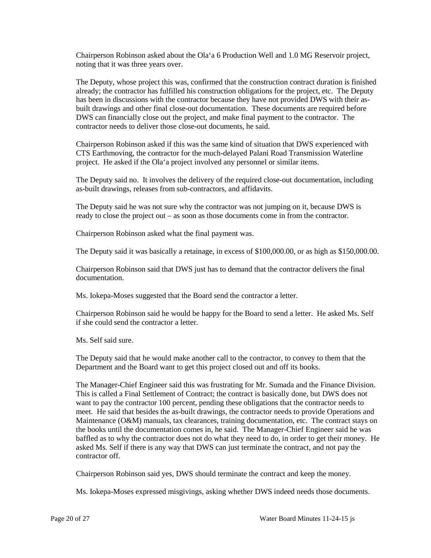Chairperson Robinson asked about the Ola'a 6 Production Well and 1.0 MG Reservoir project, noting that it was three years over.

 built drawings and other final close-out documentation. These documents are required before DWS can financially close out the project, and make final payment to the contractor. The The Deputy, whose project this was, confirmed that the construction contract duration is finished already; the contractor has fulfilled his construction obligations for the project, etc. The Deputy has been in discussions with the contractor because they have not provided DWS with their ascontractor needs to deliver those close-out documents, he said.

 Chairperson Robinson asked if this was the same kind of situation that DWS experienced with CTS Earthmoving, the contractor for the much-delayed Palani Road Transmission Waterline project. He asked if the Ola'a project involved any personnel or similar items.

 The Deputy said no. It involves the delivery of the required close-out documentation, including as-built drawings, releases from sub-contractors, and affidavits.

The Deputy said he was not sure why the contractor was not jumping on it, because DWS is ready to close the project out – as soon as those documents come in from the contractor.

Chairperson Robinson asked what the final payment was.

The Deputy said it was basically a retainage, in excess of \$100,000.00, or as high as \$150,000.00.

 Chairperson Robinson said that DWS just has to demand that the contractor delivers the final documentation.

Ms. Iokepa-Moses suggested that the Board send the contractor a letter.

 Chairperson Robinson said he would be happy for the Board to send a letter. He asked Ms. Self if she could send the contractor a letter.

Ms. Self said sure.

 Department and the Board want to get this project closed out and off its books. The Deputy said that he would make another call to the contractor, to convey to them that the

The Manager-Chief Engineer said this was frustrating for Mr. Sumada and the Finance Division. The Manager-Chief Engineer said this was frustrating for Mr. Sumada and the Finance Division. This is called a Final Settlement of Contract; the contract is basically done, but DWS does not want to pay the contractor 100 percent, pending these obligations that the contractor needs to Maintenance (O&M) manuals, tax clearances, training documentation, etc. The contract stays on baffled as to why the contractor does not do what they need to do, in order to get their money. He asked Ms. Self if there is any way that DWS can just terminate the contract, and not pay the meet. He said that besides the as-built drawings, the contractor needs to provide Operations and the books until the documentation comes in, he said. The Manager-Chief Engineer said he was contractor off.

Chairperson Robinson said yes, DWS should terminate the contract and keep the money.

Ms. Iokepa-Moses expressed misgivings, asking whether DWS indeed needs those documents.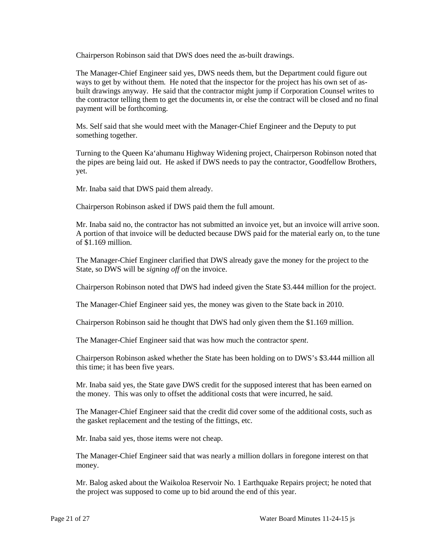Chairperson Robinson said that DWS does need the as-built drawings.

 The Manager-Chief Engineer said yes, DWS needs them, but the Department could figure out ways to get by without them. He noted that the inspector for the project has his own set of as- built drawings anyway. He said that the contractor might jump if Corporation Counsel writes to the contractor telling them to get the documents in, or else the contract will be closed and no final payment will be forthcoming.

 Ms. Self said that she would meet with the Manager-Chief Engineer and the Deputy to put something together.

 yet. Turning to the Queen Ka'ahumanu Highway Widening project, Chairperson Robinson noted that the pipes are being laid out. He asked if DWS needs to pay the contractor, Goodfellow Brothers,

Mr. Inaba said that DWS paid them already.

Chairperson Robinson asked if DWS paid them the full amount.

 Mr. Inaba said no, the contractor has not submitted an invoice yet, but an invoice will arrive soon. A portion of that invoice will be deducted because DWS paid for the material early on, to the tune of \$1.169 million.

The Manager-Chief Engineer clarified that DWS already gave the money for the project to the State, so DWS will be *signing off* on the invoice.

Chairperson Robinson noted that DWS had indeed given the State \$3.444 million for the project.

The Manager-Chief Engineer said yes, the money was given to the State back in 2010.

Chairperson Robinson said he thought that DWS had only given them the \$1.169 million.

The Manager-Chief Engineer said that was how much the contractor *spent*.

 this time; it has been five years. Chairperson Robinson asked whether the State has been holding on to DWS's \$3.444 million all

 Mr. Inaba said yes, the State gave DWS credit for the supposed interest that has been earned on the money. This was only to offset the additional costs that were incurred, he said.

 The Manager-Chief Engineer said that the credit did cover some of the additional costs, such as the gasket replacement and the testing of the fittings, etc.

Mr. Inaba said yes, those items were not cheap.

The Manager-Chief Engineer said that was nearly a million dollars in foregone interest on that money.

 the project was supposed to come up to bid around the end of this year. Mr. Balog asked about the Waikoloa Reservoir No. 1 Earthquake Repairs project; he noted that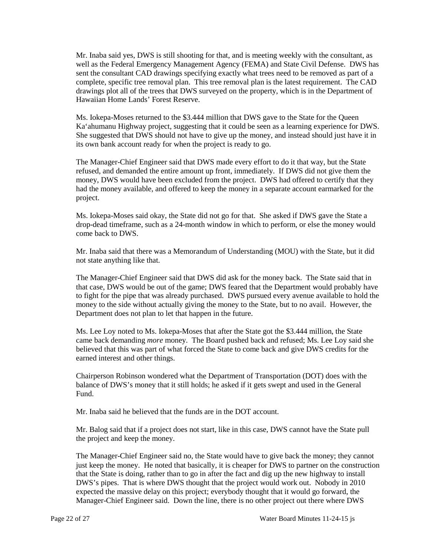Mr. Inaba said yes, DWS is still shooting for that, and is meeting weekly with the consultant, as complete, specific tree removal plan. This tree removal plan is the latest requirement. The CAD drawings plot all of the trees that DWS surveyed on the property, which is in the Department of well as the Federal Emergency Management Agency (FEMA) and State Civil Defense. DWS has sent the consultant CAD drawings specifying exactly what trees need to be removed as part of a Hawaiian Home Lands' Forest Reserve.

 Ms. Iokepa-Moses returned to the \$3.444 million that DWS gave to the State for the Queen Ka'ahumanu Highway project, suggesting that it could be seen as a learning experience for DWS. its own bank account ready for when the project is ready to go. She suggested that DWS should not have to give up the money, and instead should just have it in

 refused, and demanded the entire amount up front, immediately. If DWS did not give them the The Manager-Chief Engineer said that DWS made every effort to do it that way, but the State money, DWS would have been excluded from the project. DWS had offered to certify that they had the money available, and offered to keep the money in a separate account earmarked for the project.

 drop-dead timeframe, such as a 24-month window in which to perform, or else the money would Ms. Iokepa-Moses said okay, the State did not go for that. She asked if DWS gave the State a come back to DWS.

Mr. Inaba said that there was a Memorandum of Understanding (MOU) with the State, but it did not state anything like that.

 The Manager-Chief Engineer said that DWS did ask for the money back. The State said that in to fight for the pipe that was already purchased. DWS pursued every avenue available to hold the that case, DWS would be out of the game; DWS feared that the Department would probably have money to the side without actually giving the money to the State, but to no avail. However, the Department does not plan to let that happen in the future.

 Ms. Lee Loy noted to Ms. Iokepa-Moses that after the State got the \$3.444 million, the State came back demanding *more* money. The Board pushed back and refused; Ms. Lee Loy said she believed that this was part of what forced the State to come back and give DWS credits for the earned interest and other things.

 Chairperson Robinson wondered what the Department of Transportation (DOT) does with the balance of DWS's money that it still holds; he asked if it gets swept and used in the General Fund.

Mr. Inaba said he believed that the funds are in the DOT account.

 Mr. Balog said that if a project does not start, like in this case, DWS cannot have the State pull the project and keep the money.

 just keep the money. He noted that basically, it is cheaper for DWS to partner on the construction that the State is doing, rather than to go in after the fact and dig up the new highway to install DWS's pipes. That is where DWS thought that the project would work out. Nobody in 2010 Manager-Chief Engineer said. Down the line, there is no other project out there where DWS The Manager-Chief Engineer said no, the State would have to give back the money; they cannot expected the massive delay on this project; everybody thought that it would go forward, the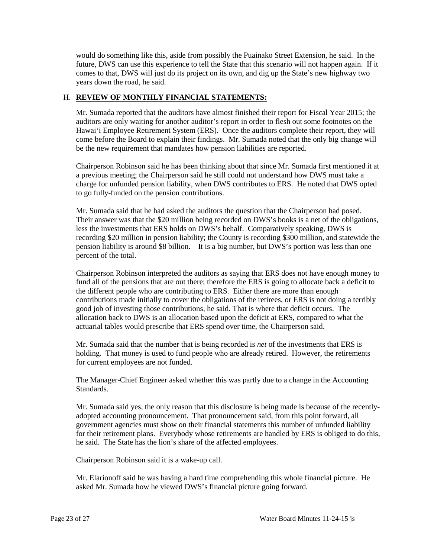comes to that, DWS will just do its project on its own, and dig up the State's new highway two would do something like this, aside from possibly the Puainako Street Extension, he said. In the future, DWS can use this experience to tell the State that this scenario will not happen again. If it years down the road, he said.

## H. **REVIEW OF MONTHLY FINANCIAL STATEMENTS:**

 Mr. Sumada reported that the auditors have almost finished their report for Fiscal Year 2015; the Hawai'i Employee Retirement System (ERS). Once the auditors complete their report, they will auditors are only waiting for another auditor's report in order to flesh out some footnotes on the come before the Board to explain their findings. Mr. Sumada noted that the only big change will be the new requirement that mandates how pension liabilities are reported.

 Chairperson Robinson said he has been thinking about that since Mr. Sumada first mentioned it at a previous meeting; the Chairperson said he still could not understand how DWS must take a charge for unfunded pension liability, when DWS contributes to ERS. He noted that DWS opted to go fully-funded on the pension contributions.

 pension liability is around \$8 billion. It is a big number, but DWS's portion was less than one Their answer was that the \$20 million being recorded on DWS's books is a net of the obligations, recording \$20 million in pension liability; the County is recording \$300 million, and statewide the Mr. Sumada said that he had asked the auditors the question that the Chairperson had posed. less the investments that ERS holds on DWS's behalf. Comparatively speaking, DWS is percent of the total.

 fund all of the pensions that are out there; therefore the ERS is going to allocate back a deficit to contributions made initially to cover the obligations of the retirees, or ERS is not doing a terribly good job of investing those contributions, he said. That is where that deficit occurs. The Chairperson Robinson interpreted the auditors as saying that ERS does not have enough money to the different people who are contributing to ERS. Either there are more than enough allocation back to DWS is an allocation based upon the deficit at ERS, compared to what the actuarial tables would prescribe that ERS spend over time, the Chairperson said.

 Mr. Sumada said that the number that is being recorded is *net* of the investments that ERS is holding. That money is used to fund people who are already retired. However, the retirements for current employees are not funded.

The Manager-Chief Engineer asked whether this was partly due to a change in the Accounting Standards.

 adopted accounting pronouncement. That pronouncement said, from this point forward, all for their retirement plans. Everybody whose retirements are handled by ERS is obliged to do this, Mr. Sumada said yes, the only reason that this disclosure is being made is because of the recentlygovernment agencies must show on their financial statements this number of unfunded liability he said. The State has the lion's share of the affected employees.

Chairperson Robinson said it is a wake-up call.

 Mr. Elarionoff said he was having a hard time comprehending this whole financial picture. He asked Mr. Sumada how he viewed DWS's financial picture going forward.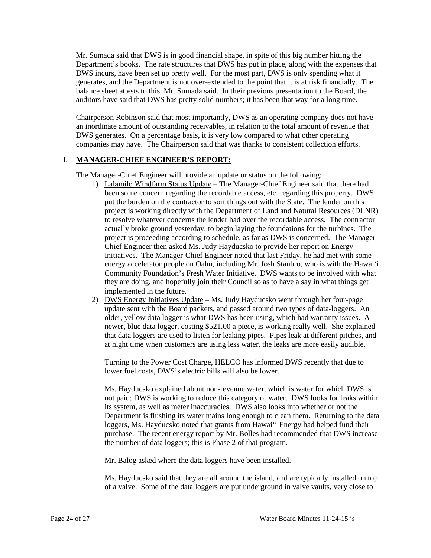Department's books. The rate structures that DWS has put in place, along with the expenses that generates, and the Department is not over-extended to the point that it is at risk financially. The balance sheet attests to this, Mr. Sumada said. In their previous presentation to the Board, the Mr. Sumada said that DWS is in good financial shape, in spite of this big number hitting the DWS incurs, have been set up pretty well. For the most part, DWS is only spending what it auditors have said that DWS has pretty solid numbers; it has been that way for a long time.

 an inordinate amount of outstanding receivables, in relation to the total amount of revenue that Chairperson Robinson said that most importantly, DWS as an operating company does not have DWS generates. On a percentage basis, it is very low compared to what other operating companies may have. The Chairperson said that was thanks to consistent collection efforts.

## I. **MANAGER-CHIEF ENGINEER'S REPORT:**

The Manager-Chief Engineer will provide an update or status on the following:

- 1) Lālāmilo Windfarm Status Update The Manager-Chief Engineer said that there had been some concern regarding the recordable access, etc. regarding this property. DWS to resolve whatever concerns the lender had over the recordable access. The contractor project is proceeding according to schedule, as far as DWS is concerned. The Manager- Chief Engineer then asked Ms. Judy Hayducsko to provide her report on Energy Initiatives. The Manager-Chief Engineer noted that last Friday, he had met with some they are doing, and hopefully join their Council so as to have a say in what things get put the burden on the contractor to sort things out with the State. The lender on this project is working directly with the Department of Land and Natural Resources (DLNR) actually broke ground yesterday, to begin laying the foundations for the turbines. The energy accelerator people on Oahu, including Mr. Josh Stanbro, who is with the Hawai'i Community Foundation's Fresh Water Initiative. DWS wants to be involved with what implemented in the future.
- older, yellow data logger is what DWS has been using, which had warranty issues. A that data loggers are used to listen for leaking pipes. Pipes leak at different pitches, and at night time when customers are using less water, the leaks are more easily audible. 2) DWS Energy Initiatives Update – Ms. Judy Hayducsko went through her four-page update sent with the Board packets, and passed around two types of data-loggers. An newer, blue data logger, costing \$521.00 a piece, is working really well. She explained

Turning to the Power Cost Charge, HELCO has informed DWS recently that due to lower fuel costs, DWS's electric bills will also be lower.

 Department is flushing its water mains long enough to clean them. Returning to the data purchase. The recent energy report by Mr. Bolles had recommended that DWS increase Ms. Hayducsko explained about non-revenue water, which is water for which DWS is not paid; DWS is working to reduce this category of water. DWS looks for leaks within its system, as well as meter inaccuracies. DWS also looks into whether or not the loggers, Ms. Hayducsko noted that grants from Hawai'i Energy had helped fund their the number of data loggers; this is Phase 2 of that program.

Mr. Balog asked where the data loggers have been installed.

Ms. Hayducsko said that they are all around the island, and are typically installed on top of a valve. Some of the data loggers are put underground in valve vaults, very close to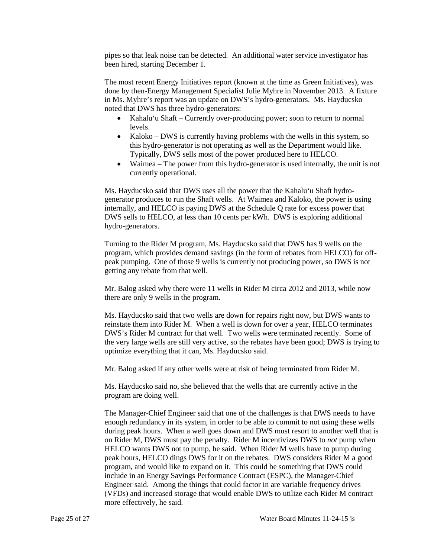pipes so that leak noise can be detected. An additional water service investigator has been hired, starting December 1.

 done by then-Energy Management Specialist Julie Myhre in November 2013. A fixture in Ms. Myhre's report was an update on DWS's hydro-generators. Ms. Hayducsko The most recent Energy Initiatives report (known at the time as Green Initiatives), was noted that DWS has three hydro-generators:

- Kahalu'u Shaft Currently over-producing power; soon to return to normal levels.
- this hydro-generator is not operating as well as the Department would like. Typically, DWS sells most of the power produced here to HELCO. • Kaloko – DWS is currently having problems with the wells in this system, so
- Waimea The power from this hydro-generator is used internally, the unit is not currently operational.

 Ms. Hayducsko said that DWS uses all the power that the Kahalu'u Shaft hydro- generator produces to run the Shaft wells. At Waimea and Kaloko, the power is using internally, and HELCO is paying DWS at the Schedule Q rate for excess power that DWS sells to HELCO, at less than 10 cents per kWh. DWS is exploring additional hydro-generators.

 peak pumping. One of those 9 wells is currently not producing power, so DWS is not Turning to the Rider M program, Ms. Hayducsko said that DWS has 9 wells on the program, which provides demand savings (in the form of rebates from HELCO) for offgetting any rebate from that well.

Mr. Balog asked why there were 11 wells in Rider M circa 2012 and 2013, while now there are only 9 wells in the program.

 reinstate them into Rider M. When a well is down for over a year, HELCO terminates DWS's Rider M contract for that well. Two wells were terminated recently. Some of optimize everything that it can, Ms. Hayducsko said. Ms. Hayducsko said that two wells are down for repairs right now, but DWS wants to the very large wells are still very active, so the rebates have been good; DWS is trying to

Mr. Balog asked if any other wells were at risk of being terminated from Rider M.

Ms. Hayducsko said no, she believed that the wells that are currently active in the program are doing well.

 The Manager-Chief Engineer said that one of the challenges is that DWS needs to have during peak hours. When a well goes down and DWS must resort to another well that is peak hours, HELCO dings DWS for it on the rebates. DWS considers Rider M a good (VFDs) and increased storage that would enable DWS to utilize each Rider M contract enough redundancy in its system, in order to be able to commit to not using these wells on Rider M, DWS must pay the penalty. Rider M incentivizes DWS to *not* pump when HELCO wants DWS not to pump, he said. When Rider M wells have to pump during program, and would like to expand on it. This could be something that DWS could include in an Energy Savings Performance Contract (ESPC), the Manager-Chief Engineer said. Among the things that could factor in are variable frequency drives more effectively, he said.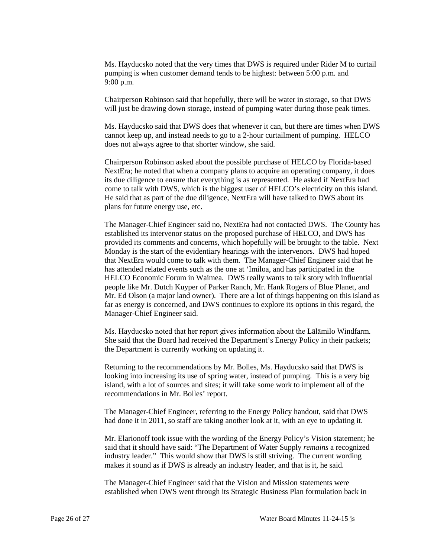Ms. Hayducsko noted that the very times that DWS is required under Rider M to curtail pumping is when customer demand tends to be highest: between 5:00 p.m. and 9:00 p.m.

Chairperson Robinson said that hopefully, there will be water in storage, so that DWS will just be drawing down storage, instead of pumping water during those peak times.

Ms. Hayducsko said that DWS does that whenever it can, but there are times when DWS cannot keep up, and instead needs to go to a 2-hour curtailment of pumping. HELCO does not always agree to that shorter window, she said.

come to talk with DWS, which is the biggest user of HELCO's electricity on this island. come to talk with DWS, which is the biggest user of HELCO's electricity on this island. He said that as part of the due diligence, NextEra will have talked to DWS about its Chairperson Robinson asked about the possible purchase of HELCO by Florida-based NextEra; he noted that when a company plans to acquire an operating company, it does its due diligence to ensure that everything is as represented. He asked if NextEra had plans for future energy use, etc.

 provided its comments and concerns, which hopefully will be brought to the table. Next has attended related events such as the one at 'Imiloa, and has participated in the Mr. Ed Olson (a major land owner). There are a lot of things happening on this island as far as energy is concerned, and DWS continues to explore its options in this regard, the The Manager-Chief Engineer said no, NextEra had not contacted DWS. The County has established its intervenor status on the proposed purchase of HELCO, and DWS has Monday is the start of the evidentiary hearings with the intervenors. DWS had hoped that NextEra would come to talk with them. The Manager-Chief Engineer said that he HELCO Economic Forum in Waimea. DWS really wants to talk story with influential people like Mr. Dutch Kuyper of Parker Ranch, Mr. Hank Rogers of Blue Planet, and Manager-Chief Engineer said.

the Department is currently working on updating it. Ms. Hayducsko noted that her report gives information about the Lālāmilo Windfarm. She said that the Board had received the Department's Energy Policy in their packets;

the Department is currently working on updating it.<br>Returning to the recommendations by Mr. Bolles, Ms. Hayducsko said that DWS is looking into increasing its use of spring water, instead of pumping. This is a very big island, with a lot of sources and sites; it will take some work to implement all of the recommendations in Mr. Bolles' report.

 had done it in 2011, so staff are taking another look at it, with an eye to updating it. The Manager-Chief Engineer, referring to the Energy Policy handout, said that DWS

 industry leader." This would show that DWS is still striving. The current wording Mr. Elarionoff took issue with the wording of the Energy Policy's Vision statement; he said that it should have said: "The Department of Water Supply *remains* a recognized makes it sound as if DWS is already an industry leader, and that is it, he said.

The Manager-Chief Engineer said that the Vision and Mission statements were established when DWS went through its Strategic Business Plan formulation back in